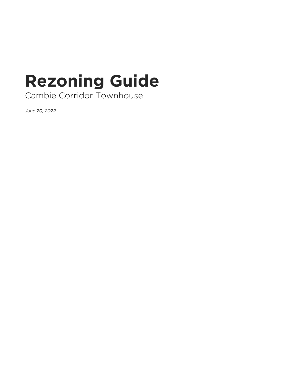## **Rezoning Guide**

Cambie Corridor Townhouse

*June 20, 2022*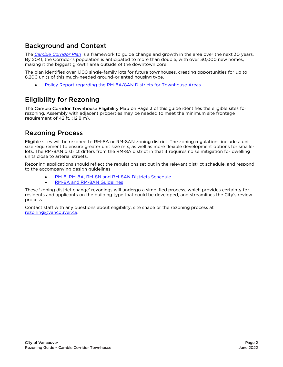## Background and Context

The *[Cambie Corridor Plan](https://vancouver.ca/home-property-development/cambie-corridor-plan.aspx)* is a framework to guide change and growth in the area over the next 30 years. By 2041, the Corridor's population is anticipated to more than double, with over 30,000 new homes, making it the biggest growth area outside of the downtown core.

The plan identifies over 1,100 single-family lots for future townhouses, creating opportunities for up to 8,200 units of this much-needed ground-oriented housing type.

[Policy Report regarding the RM-8A/8AN Districts for Townhouse Areas](https://council.vancouver.ca/20180724/documents/p5.pdf)

## Eligibility for Rezoning

The Cambie Corridor Townhouse Eligibility Map on Page 3 of this guide identifies the eligible sites for rezoning. Assembly with adjacent properties may be needed to meet the minimum site frontage requirement of 42 ft. (12.8 m).

## Rezoning Process

Eligible sites will be rezoned to RM-8A or RM-8AN zoning district. The zoning regulations include a unit size requirement to ensure greater unit size mix, as well as more flexible development options for smaller lots. The RM-8AN district differs from the RM-8A district in that it requires noise mitigation for dwelling units close to arterial streets.

Rezoning applications should reflect the regulations set out in the relevant district schedule, and respond to the accompanying design guidelines.

- [RM-8, RM-8A, RM-8N and RM-8AN Districts Schedule](https://bylaws.vancouver.ca/zoning/zoning-by-law-district-schedule-rm-8-all-districts.pdf)
- [RM-8A and RM-8AN Guidelines](https://guidelines.vancouver.ca/guidelines-rm-8-8a.pdf#page=27)

These 'zoning district change' rezonings will undergo a simplified process, which provides certainty for residents and applicants on the building type that could be developed, and streamlines the City's review process.

Contact staff with any questions about eligibility, site shape or the rezoning process at [rezoning@vancouver.ca.](mailto:rezoning@vancouver.ca)